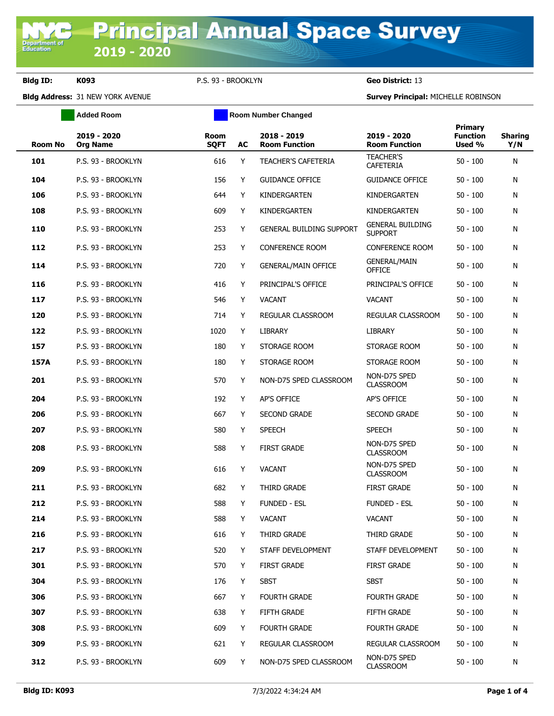**Department of**<br>Education

**Bldg ID: K093** P.S. 93 - BROOKLYN **Geo District:** 13

**Bldg Address:** 31 NEW YORK AVENUE **Survey Principal:** MICHELLE ROBINSON

|                | <b>Added Room</b>              |                            | <b>Room Number Changed</b> |                                     |                                           |                                      |                       |
|----------------|--------------------------------|----------------------------|----------------------------|-------------------------------------|-------------------------------------------|--------------------------------------|-----------------------|
| <b>Room No</b> | 2019 - 2020<br><b>Org Name</b> | <b>Room</b><br><b>SQFT</b> | AC                         | 2018 - 2019<br><b>Room Function</b> | 2019 - 2020<br><b>Room Function</b>       | Primary<br><b>Function</b><br>Used % | <b>Sharing</b><br>Y/N |
| 101            | P.S. 93 - BROOKLYN             | 616                        | Y                          | <b>TEACHER'S CAFETERIA</b>          | <b>TEACHER'S</b><br><b>CAFETERIA</b>      | $50 - 100$                           | N                     |
| 104            | P.S. 93 - BROOKLYN             | 156                        | Y                          | <b>GUIDANCE OFFICE</b>              | <b>GUIDANCE OFFICE</b>                    | $50 - 100$                           | N                     |
| 106            | P.S. 93 - BROOKLYN             | 644                        | Y                          | KINDERGARTEN                        | KINDERGARTEN                              | $50 - 100$                           | N                     |
| 108            | P.S. 93 - BROOKLYN             | 609                        | Y                          | KINDERGARTEN                        | KINDERGARTEN                              | $50 - 100$                           | N                     |
| 110            | P.S. 93 - BROOKLYN             | 253                        | Y                          | <b>GENERAL BUILDING SUPPORT</b>     | <b>GENERAL BUILDING</b><br><b>SUPPORT</b> | $50 - 100$                           | N                     |
| 112            | P.S. 93 - BROOKLYN             | 253                        | Y                          | <b>CONFERENCE ROOM</b>              | <b>CONFERENCE ROOM</b>                    | $50 - 100$                           | N                     |
| 114            | P.S. 93 - BROOKLYN             | 720                        | Y                          | <b>GENERAL/MAIN OFFICE</b>          | <b>GENERAL/MAIN</b><br><b>OFFICE</b>      | $50 - 100$                           | N                     |
| 116            | P.S. 93 - BROOKLYN             | 416                        | Y                          | PRINCIPAL'S OFFICE                  | PRINCIPAL'S OFFICE                        | 50 - 100                             | N                     |
| 117            | P.S. 93 - BROOKLYN             | 546                        | Y                          | <b>VACANT</b>                       | <b>VACANT</b>                             | $50 - 100$                           | N                     |
| 120            | P.S. 93 - BROOKLYN             | 714                        | Y                          | REGULAR CLASSROOM                   | REGULAR CLASSROOM                         | $50 - 100$                           | N                     |
| 122            | P.S. 93 - BROOKLYN             | 1020                       | Y                          | <b>LIBRARY</b>                      | <b>LIBRARY</b>                            | $50 - 100$                           | N                     |
| 157            | P.S. 93 - BROOKLYN             | 180                        | Y                          | STORAGE ROOM                        | STORAGE ROOM                              | $50 - 100$                           | N                     |
| 157A           | P.S. 93 - BROOKLYN             | 180                        | Y                          | STORAGE ROOM                        | STORAGE ROOM                              | $50 - 100$                           | N                     |
| 201            | P.S. 93 - BROOKLYN             | 570                        | Y                          | NON-D75 SPED CLASSROOM              | NON-D75 SPED<br><b>CLASSROOM</b>          | $50 - 100$                           | N                     |
| 204            | P.S. 93 - BROOKLYN             | 192                        | Y                          | AP'S OFFICE                         | AP'S OFFICE                               | $50 - 100$                           | N                     |
| 206            | P.S. 93 - BROOKLYN             | 667                        | Y                          | <b>SECOND GRADE</b>                 | <b>SECOND GRADE</b>                       | $50 - 100$                           | N                     |
| 207            | P.S. 93 - BROOKLYN             | 580                        | Y                          | <b>SPEECH</b>                       | <b>SPEECH</b>                             | $50 - 100$                           | N                     |
| 208            | P.S. 93 - BROOKLYN             | 588                        | Y                          | <b>FIRST GRADE</b>                  | NON-D75 SPED<br><b>CLASSROOM</b>          | $50 - 100$                           | N                     |
| 209            | P.S. 93 - BROOKLYN             | 616                        | Y                          | <b>VACANT</b>                       | NON-D75 SPED<br><b>CLASSROOM</b>          | $50 - 100$                           | N                     |
| 211            | P.S. 93 - BROOKLYN             | 682                        | Y                          | THIRD GRADE                         | <b>FIRST GRADE</b>                        | $50 - 100$                           | N                     |
| 212            | P.S. 93 - BROOKLYN             | 588                        | Y                          | <b>FUNDED - ESL</b>                 | <b>FUNDED - ESL</b>                       | $50 - 100$                           | N                     |
| 214            | P.S. 93 - BROOKLYN             | 588                        | Y                          | <b>VACANT</b>                       | <b>VACANT</b>                             | $50 - 100$                           | N                     |
| 216            | P.S. 93 - BROOKLYN             | 616                        | Y                          | THIRD GRADE                         | THIRD GRADE                               | $50 - 100$                           | N                     |
| 217            | P.S. 93 - BROOKLYN             | 520                        | Y                          | STAFF DEVELOPMENT                   | STAFF DEVELOPMENT                         | $50 - 100$                           | N                     |
| 301            | P.S. 93 - BROOKLYN             | 570                        | Y                          | <b>FIRST GRADE</b>                  | <b>FIRST GRADE</b>                        | $50 - 100$                           | N                     |
| 304            | P.S. 93 - BROOKLYN             | 176                        | Y                          | <b>SBST</b>                         | <b>SBST</b>                               | $50 - 100$                           | N                     |
| 306            | P.S. 93 - BROOKLYN             | 667                        | Y                          | <b>FOURTH GRADE</b>                 | <b>FOURTH GRADE</b>                       | $50 - 100$                           | N                     |
| 307            | P.S. 93 - BROOKLYN             | 638                        | Y                          | <b>FIFTH GRADE</b>                  | <b>FIFTH GRADE</b>                        | $50 - 100$                           | N                     |
| 308            | P.S. 93 - BROOKLYN             | 609                        | Y                          | <b>FOURTH GRADE</b>                 | <b>FOURTH GRADE</b>                       | $50 - 100$                           | N                     |
| 309            | P.S. 93 - BROOKLYN             | 621                        | Y                          | REGULAR CLASSROOM                   | REGULAR CLASSROOM                         | $50 - 100$                           | N                     |
| 312            | P.S. 93 - BROOKLYN             | 609                        | Y                          | NON-D75 SPED CLASSROOM              | NON-D75 SPED<br><b>CLASSROOM</b>          | $50 - 100$                           | N                     |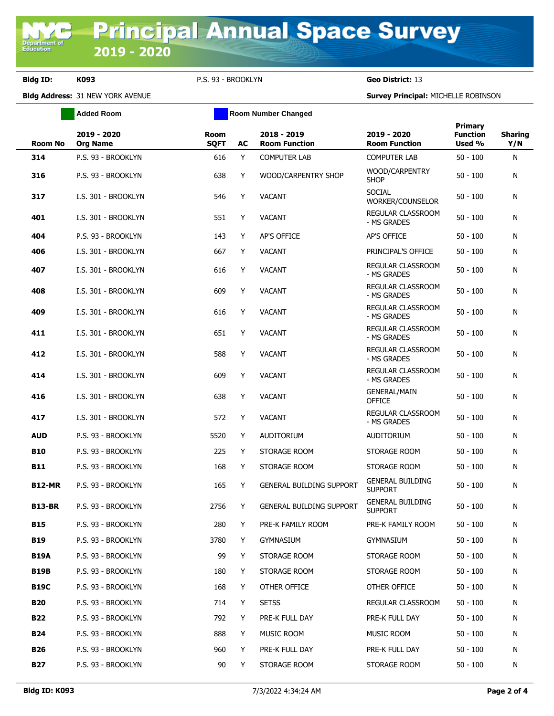**Bldg ID: K093** P.S. 93 - BROOKLYN **Geo District:** 13

**Added Room Room Room Number Changed** 

**Bldg Address:** 31 NEW YORK AVENUE **Survey Principal:** MICHELLE ROBINSON

| <b>Room No</b> | 2019 - 2020<br><b>Org Name</b> | Room<br><b>SQFT</b> | AC  | 2018 - 2019<br><b>Room Function</b> | 2019 - 2020<br><b>Room Function</b>       | Primary<br><b>Function</b><br>Used % | <b>Sharing</b><br>Y/N |
|----------------|--------------------------------|---------------------|-----|-------------------------------------|-------------------------------------------|--------------------------------------|-----------------------|
| 314            | P.S. 93 - BROOKLYN             | 616                 | Y   | <b>COMPUTER LAB</b>                 | COMPUTER LAB                              | $50 - 100$                           | N                     |
| 316            | P.S. 93 - BROOKLYN             | 638                 | Y   | WOOD/CARPENTRY SHOP                 | WOOD/CARPENTRY<br><b>SHOP</b>             | $50 - 100$                           | N                     |
| 317            | I.S. 301 - BROOKLYN            | 546                 | Y   | <b>VACANT</b>                       | <b>SOCIAL</b><br>WORKER/COUNSELOR         | $50 - 100$                           | N                     |
| 401            | I.S. 301 - BROOKLYN            | 551                 | Y   | <b>VACANT</b>                       | REGULAR CLASSROOM<br>- MS GRADES          | $50 - 100$                           | N                     |
| 404            | P.S. 93 - BROOKLYN             | 143                 | Y   | <b>AP'S OFFICE</b>                  | AP'S OFFICE                               | $50 - 100$                           | N                     |
| 406            | I.S. 301 - BROOKLYN            | 667                 | Y   | <b>VACANT</b>                       | PRINCIPAL'S OFFICE                        | $50 - 100$                           | N                     |
| 407            | I.S. 301 - BROOKLYN            | 616                 | Y   | <b>VACANT</b>                       | REGULAR CLASSROOM<br>- MS GRADES          | $50 - 100$                           | N                     |
| 408            | I.S. 301 - BROOKLYN            | 609                 | Y   | <b>VACANT</b>                       | REGULAR CLASSROOM<br>- MS GRADES          | $50 - 100$                           | N                     |
| 409            | I.S. 301 - BROOKLYN            | 616                 | Y   | <b>VACANT</b>                       | REGULAR CLASSROOM<br>- MS GRADES          | $50 - 100$                           | N                     |
| 411            | I.S. 301 - BROOKLYN            | 651                 | Y   | <b>VACANT</b>                       | REGULAR CLASSROOM<br>- MS GRADES          | $50 - 100$                           | N                     |
| 412            | I.S. 301 - BROOKLYN            | 588                 | Y   | <b>VACANT</b>                       | REGULAR CLASSROOM<br>- MS GRADES          | $50 - 100$                           | N                     |
| 414            | I.S. 301 - BROOKLYN            | 609                 | Y   | <b>VACANT</b>                       | REGULAR CLASSROOM<br>- MS GRADES          | $50 - 100$                           | N                     |
| 416            | I.S. 301 - BROOKLYN            | 638                 | Y   | <b>VACANT</b>                       | <b>GENERAL/MAIN</b><br><b>OFFICE</b>      | $50 - 100$                           | N                     |
| 417            | I.S. 301 - BROOKLYN            | 572                 | Y   | <b>VACANT</b>                       | REGULAR CLASSROOM<br>- MS GRADES          | $50 - 100$                           | N                     |
| <b>AUD</b>     | P.S. 93 - BROOKLYN             | 5520                | Y   | <b>AUDITORIUM</b>                   | <b>AUDITORIUM</b>                         | $50 - 100$                           | N                     |
| <b>B10</b>     | P.S. 93 - BROOKLYN             | 225                 | Y   | STORAGE ROOM                        | STORAGE ROOM                              | $50 - 100$                           | N                     |
| <b>B11</b>     | P.S. 93 - BROOKLYN             | 168                 | Y   | STORAGE ROOM                        | STORAGE ROOM                              | $50 - 100$                           | N                     |
| <b>B12-MR</b>  | P.S. 93 - BROOKLYN             | 165                 | Y   | GENERAL BUILDING SUPPORT            | <b>GENERAL BUILDING</b><br><b>SUPPORT</b> | $50 - 100$                           | N                     |
| <b>B13-BR</b>  | P.S. 93 - BROOKLYN             | 2756                | Y   | <b>GENERAL BUILDING SUPPORT</b>     | <b>GENERAL BUILDING</b><br><b>SUPPORT</b> | $50 - 100$                           | N                     |
| <b>B15</b>     | P.S. 93 - BROOKLYN             | 280                 | Y - | PRE-K FAMILY ROOM                   | PRE-K FAMILY ROOM                         | $50 - 100$                           | N                     |
| B19            | P.S. 93 - BROOKLYN             | 3780                | Y   | <b>GYMNASIUM</b>                    | GYMNASIUM                                 | $50 - 100$                           | N                     |
| <b>B19A</b>    | P.S. 93 - BROOKLYN             | 99                  | Y   | STORAGE ROOM                        | STORAGE ROOM                              | $50 - 100$                           | N                     |
| <b>B19B</b>    | P.S. 93 - BROOKLYN             | 180                 | Y   | STORAGE ROOM                        | STORAGE ROOM                              | $50 - 100$                           | N                     |
| <b>B19C</b>    | P.S. 93 - BROOKLYN             | 168                 | Y   | OTHER OFFICE                        | OTHER OFFICE                              | $50 - 100$                           | N                     |
| <b>B20</b>     | P.S. 93 - BROOKLYN             | 714                 | Y   | <b>SETSS</b>                        | REGULAR CLASSROOM                         | $50 - 100$                           | N                     |
| <b>B22</b>     | P.S. 93 - BROOKLYN             | 792                 | Y   | PRE-K FULL DAY                      | PRE-K FULL DAY                            | $50 - 100$                           | N                     |
| B24            | P.S. 93 - BROOKLYN             | 888                 | Y   | MUSIC ROOM                          | MUSIC ROOM                                | $50 - 100$                           | N                     |
| <b>B26</b>     | P.S. 93 - BROOKLYN             | 960                 | Y   | PRE-K FULL DAY                      | PRE-K FULL DAY                            | $50 - 100$                           | N                     |
| <b>B27</b>     | P.S. 93 - BROOKLYN             | 90                  | Y   | STORAGE ROOM                        | STORAGE ROOM                              | $50 - 100$                           | N                     |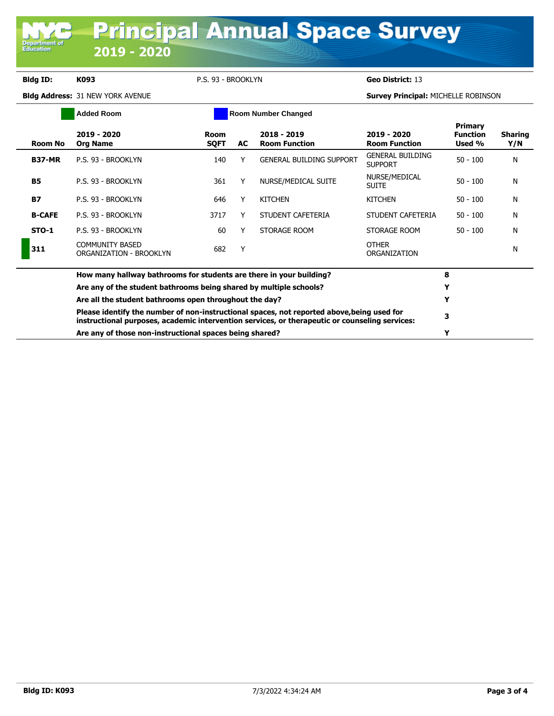**Department of**<br>Education

**Bldg ID: K093** P.S. 93 - BROOKLYN **Geo District:** 13

**Bldg Address:** 31 NEW YORK AVENUE **Survey Principal:** MICHELLE ROBINSON

|               | <b>Added Room</b>                                                                                                                                                                                                                                                                                                            | <b>Room Number Changed</b> |     |                                     |                                           |                                             |                       |
|---------------|------------------------------------------------------------------------------------------------------------------------------------------------------------------------------------------------------------------------------------------------------------------------------------------------------------------------------|----------------------------|-----|-------------------------------------|-------------------------------------------|---------------------------------------------|-----------------------|
| Room No       | 2019 - 2020<br><b>Org Name</b>                                                                                                                                                                                                                                                                                               | <b>Room</b><br><b>SQFT</b> | AC. | 2018 - 2019<br><b>Room Function</b> | 2019 - 2020<br><b>Room Function</b>       | <b>Primary</b><br><b>Function</b><br>Used % | <b>Sharing</b><br>Y/N |
| <b>B37-MR</b> | P.S. 93 - BROOKLYN                                                                                                                                                                                                                                                                                                           | 140                        | Υ   | <b>GENERAL BUILDING SUPPORT</b>     | <b>GENERAL BUILDING</b><br><b>SUPPORT</b> | $50 - 100$                                  | N                     |
| <b>B5</b>     | P.S. 93 - BROOKLYN                                                                                                                                                                                                                                                                                                           | 361                        | Υ   | NURSE/MEDICAL SUITE                 | NURSE/MEDICAL<br><b>SUITE</b>             | $50 - 100$                                  | N                     |
| <b>B7</b>     | P.S. 93 - BROOKLYN                                                                                                                                                                                                                                                                                                           | 646                        | Υ   | <b>KITCHEN</b>                      | <b>KITCHEN</b>                            | $50 - 100$                                  | N                     |
| <b>B-CAFE</b> | P.S. 93 - BROOKLYN                                                                                                                                                                                                                                                                                                           | 3717                       | Y   | STUDENT CAFETERIA                   | STUDENT CAFETERIA                         | $50 - 100$                                  | N                     |
| STO-1         | P.S. 93 - BROOKLYN                                                                                                                                                                                                                                                                                                           | 60                         | Υ   | STORAGE ROOM                        | STORAGE ROOM                              | $50 - 100$                                  | Ν                     |
| 311           | <b>COMMUNITY BASED</b><br>ORGANIZATION - BROOKLYN                                                                                                                                                                                                                                                                            | 682                        | Y   |                                     | <b>OTHER</b><br>ORGANIZATION              |                                             | N                     |
|               | How many hallway bathrooms for students are there in your building?                                                                                                                                                                                                                                                          |                            | 8   |                                     |                                           |                                             |                       |
|               | Are any of the student bathrooms being shared by multiple schools?<br>Are all the student bathrooms open throughout the day?<br>Please identify the number of non-instructional spaces, not reported above, being used for<br>instructional purposes, academic intervention services, or therapeutic or counseling services: |                            |     |                                     |                                           | Y                                           |                       |
|               |                                                                                                                                                                                                                                                                                                                              |                            |     |                                     |                                           | Y                                           |                       |
|               |                                                                                                                                                                                                                                                                                                                              |                            |     |                                     |                                           | 3                                           |                       |
|               | Are any of those non-instructional spaces being shared?                                                                                                                                                                                                                                                                      |                            |     |                                     |                                           |                                             |                       |